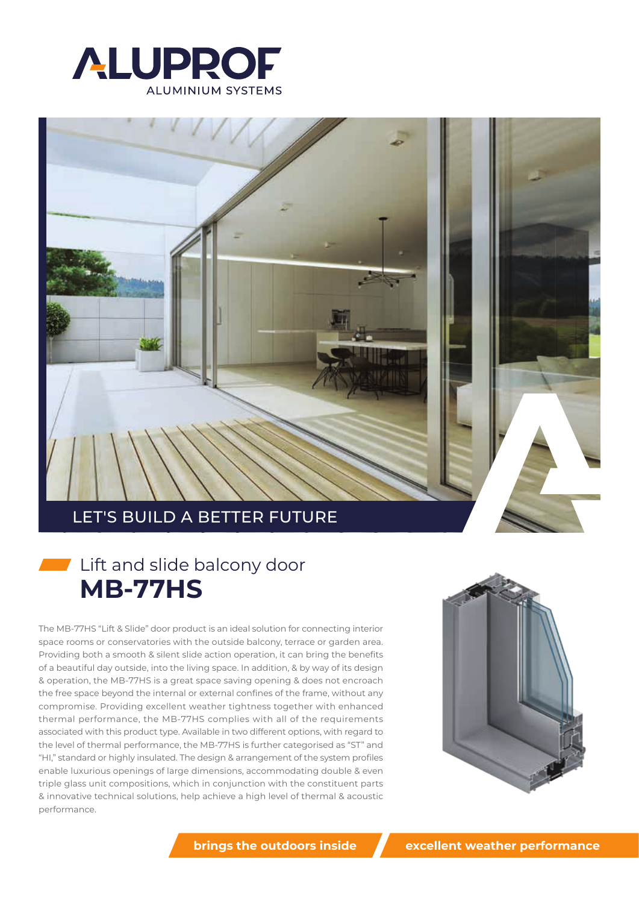



# Ift and slide balcony door **MB-77HS**

The MB-77HS "Lift & Slide" door product is an ideal solution for connecting interior space rooms or conservatories with the outside balcony, terrace or garden area. Providing both a smooth & silent slide action operation, it can bring the benefits of a beautiful day outside, into the living space. In addition, & by way of its design & operation, the MB-77HS is a great space saving opening & does not encroach the free space beyond the internal or external confines of the frame, without any compromise. Providing excellent weather tightness together with enhanced thermal performance, the MB-77HS complies with all of the requirements associated with this product type. Available in two different options, with regard to the level of thermal performance, the MB-77HS is further categorised as "ST" and "HI," standard or highly insulated. The design & arrangement of the system profiles enable luxurious openings of large dimensions, accommodating double & even triple glass unit compositions, which in conjunction with the constituent parts & innovative technical solutions, help achieve a high level of thermal & acoustic performance.



**brings the outdoors inside**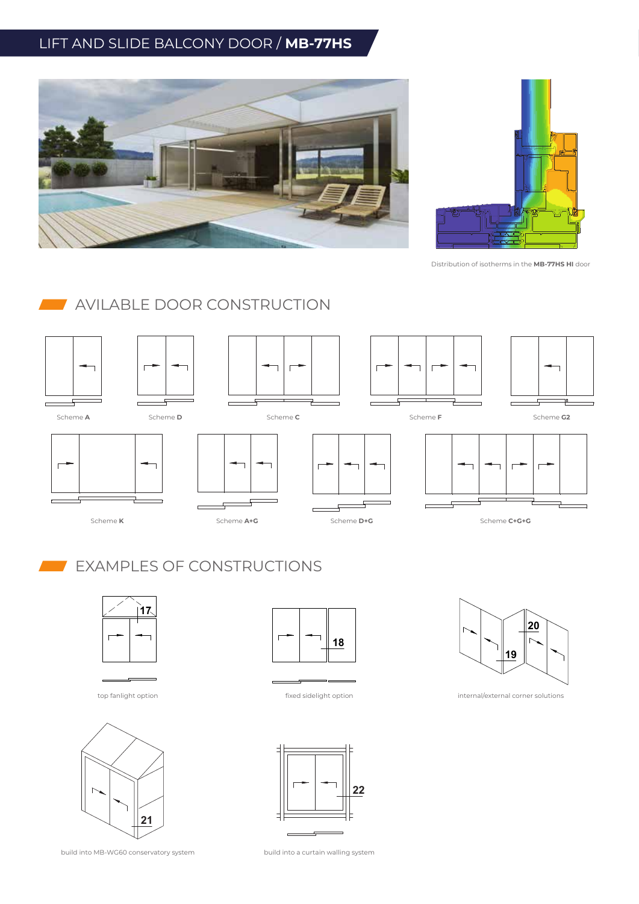## LIFT AND SLIDE BALCONY DOOR / **MB-77HS**





Distribution of isotherms in the **MB-77HS HI** door

### **AVILABLE DOOR CONSTRUCTION**



### EXAMPLES OF CONSTRUCTIONS





build into MB-WG60 conservatory system



top fanlight option fixed sidelight option





internal/external corner solutions

build into a curtain walling system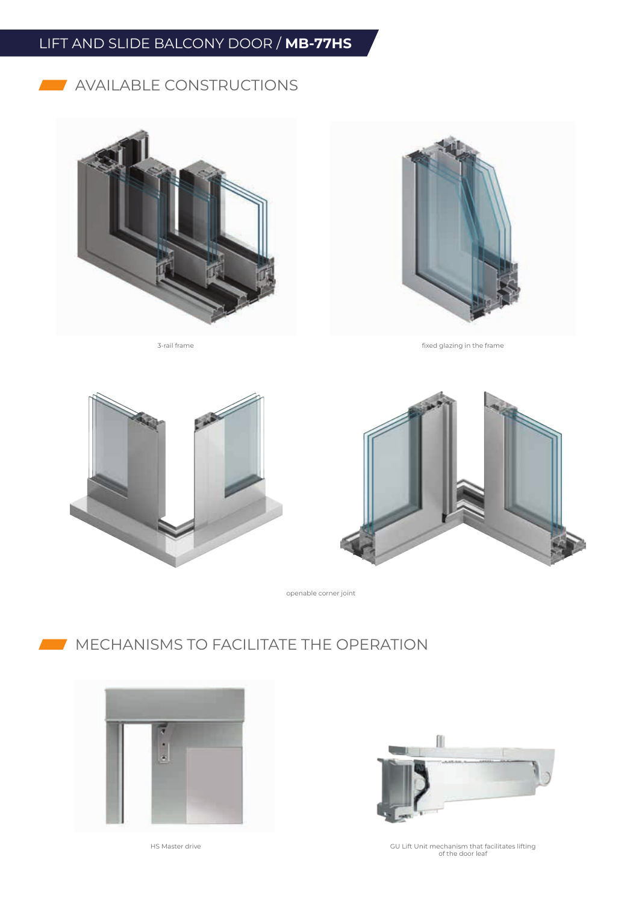# LIFT AND SLIDE BALCONY DOOR / **MB-77HS**

#### **AVAILABLE CONSTRUCTIONS**





3-rail frame fixed glazing in the frame





openable corner joint

# **MECHANISMS TO FACILITATE THE OPERATION**





HS Master drive GU Lift Unit mechanism that facilitates lifting of the door leaf